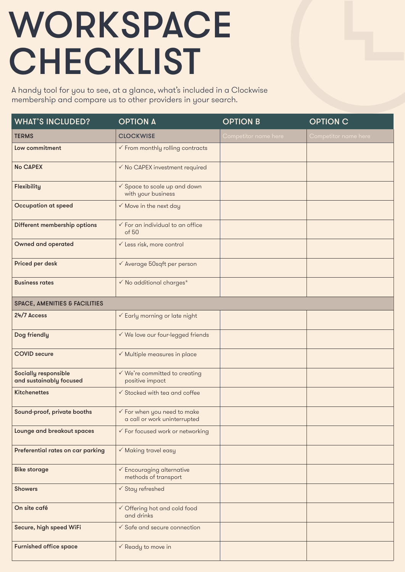## WORKSPACE **CHECKLIST**

A handy tool for you to see, at a glance, what's included in a Clockwise membership and compare us to other providers in your search.

| <b>WHAT'S INCLUDED?</b>                         | <b>OPTION A</b>                                                        | <b>OPTION B</b>      | <b>OPTION C</b>      |
|-------------------------------------------------|------------------------------------------------------------------------|----------------------|----------------------|
| <b>TERMS</b>                                    | <b>CLOCKWISE</b>                                                       | Competitor name here | Competitor name here |
| Low commitment                                  | $\checkmark$ From monthly rolling contracts                            |                      |                      |
| <b>No CAPEX</b>                                 | √ No CAPEX investment required                                         |                      |                      |
| Flexibility                                     | √ Space to scale up and down<br>with your business                     |                      |                      |
| Occupation at speed                             | $\checkmark$ Move in the next day                                      |                      |                      |
| Different membership options                    | $\checkmark$ For an individual to an office<br>of 50                   |                      |                      |
| <b>Owned and operated</b>                       | √ Less risk, more control                                              |                      |                      |
| Priced per desk                                 | √ Average 50sqft per person                                            |                      |                      |
| <b>Business rates</b>                           | $\checkmark$ No additional charges*                                    |                      |                      |
| <b>SPACE, AMENITIES &amp; FACILITIES</b>        |                                                                        |                      |                      |
| 24/7 Access                                     | ✓ Early morning or late night                                          |                      |                      |
| Dog friendly                                    | √ We love our four-legged friends                                      |                      |                      |
| <b>COVID</b> secure                             | ✓ Multiple measures in place                                           |                      |                      |
| Socially responsible<br>and sustainably focused | √ We're committed to creating<br>positive impact                       |                      |                      |
| <b>Kitchenettes</b>                             | √ Stocked with tea and coffee                                          |                      |                      |
| Sound-proof, private booths                     | $\checkmark$ For when you need to make<br>a call or work uninterrupted |                      |                      |
| Lounge and breakout spaces                      | ✓ For focused work or networking                                       |                      |                      |
| Preferential rates on car parking               | $\checkmark$ Making travel easy                                        |                      |                      |
| <b>Bike storage</b>                             | $\checkmark$ Encouraging alternative<br>methods of transport           |                      |                      |
| <b>Showers</b>                                  | $\checkmark$ Stay refreshed                                            |                      |                      |
| On site café                                    | √ Offering hot and cold food<br>and drinks                             |                      |                      |
| Secure, high speed WiFi                         | $\checkmark$ Safe and secure connection                                |                      |                      |
| <b>Furnished office space</b>                   | $\checkmark$ Ready to move in                                          |                      |                      |